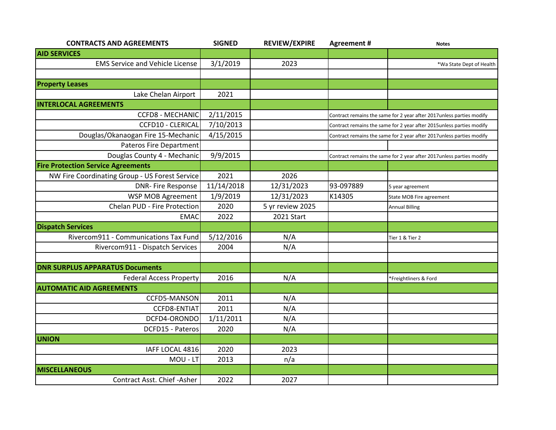| <b>CONTRACTS AND AGREEMENTS</b>                | <b>SIGNED</b> | <b>REVIEW/EXPIRE</b> | <b>Agreement#</b>                                                     | <b>Notes</b>             |
|------------------------------------------------|---------------|----------------------|-----------------------------------------------------------------------|--------------------------|
| <b>AID SERVICES</b>                            |               |                      |                                                                       |                          |
| <b>EMS Service and Vehicle License</b>         | 3/1/2019      | 2023                 |                                                                       | *Wa State Dept of Health |
|                                                |               |                      |                                                                       |                          |
| <b>Property Leases</b>                         |               |                      |                                                                       |                          |
| Lake Chelan Airport                            | 2021          |                      |                                                                       |                          |
| <b>INTERLOCAL AGREEMENTS</b>                   |               |                      |                                                                       |                          |
| <b>CCFD8 - MECHANIC</b>                        | 2/11/2015     |                      | Contract remains the same for 2 year after 2017 unless parties modify |                          |
| <b>CCFD10 - CLERICAL</b>                       | 7/10/2013     |                      | Contract remains the same for 2 year after 2015unless parties modify  |                          |
| Douglas/Okanaogan Fire 15-Mechanic             | 4/15/2015     |                      | Contract remains the same for 2 year after 2017unless parties modify  |                          |
| <b>Pateros Fire Department</b>                 |               |                      |                                                                       |                          |
| Douglas County 4 - Mechanic                    | 9/9/2015      |                      | Contract remains the same for 2 year after 2017unless parties modify  |                          |
| <b>Fire Protection Service Agreements</b>      |               |                      |                                                                       |                          |
| NW Fire Coordinating Group - US Forest Service | 2021          | 2026                 |                                                                       |                          |
| <b>DNR-Fire Response</b>                       | 11/14/2018    | 12/31/2023           | 93-097889                                                             | 5 year agreement         |
| WSP MOB Agreement                              | 1/9/2019      | 12/31/2023           | K14305                                                                | State MOB Fire agreement |
| Chelan PUD - Fire Protection                   | 2020          | 5 yr review 2025     |                                                                       | <b>Annual Billing</b>    |
| <b>EMAC</b>                                    | 2022          | 2021 Start           |                                                                       |                          |
| <b>Dispatch Services</b>                       |               |                      |                                                                       |                          |
| Rivercom911 - Communications Tax Fund          | 5/12/2016     | N/A                  |                                                                       | Tier 1 & Tier 2          |
| Rivercom911 - Dispatch Services                | 2004          | N/A                  |                                                                       |                          |
|                                                |               |                      |                                                                       |                          |
| <b>DNR SURPLUS APPARATUS Documents</b>         |               |                      |                                                                       |                          |
| <b>Federal Access Property</b>                 | 2016          | N/A                  |                                                                       | *Freightliners & Ford    |
| <b>AUTOMATIC AID AGREEMENTS</b>                |               |                      |                                                                       |                          |
| CCFD5-MANSON                                   | 2011          | N/A                  |                                                                       |                          |
| <b>CCFD8-ENTIAT</b>                            | 2011          | N/A                  |                                                                       |                          |
| DCFD4-ORONDO                                   | 1/11/2011     | N/A                  |                                                                       |                          |
| DCFD15 - Pateros                               | 2020          | N/A                  |                                                                       |                          |
| <b>UNION</b>                                   |               |                      |                                                                       |                          |
| IAFF LOCAL 4816                                | 2020          | 2023                 |                                                                       |                          |
| MOU - LT                                       | 2013          | n/a                  |                                                                       |                          |
| <b>MISCELLANEOUS</b>                           |               |                      |                                                                       |                          |
| Contract Asst. Chief -Asher                    | 2022          | 2027                 |                                                                       |                          |